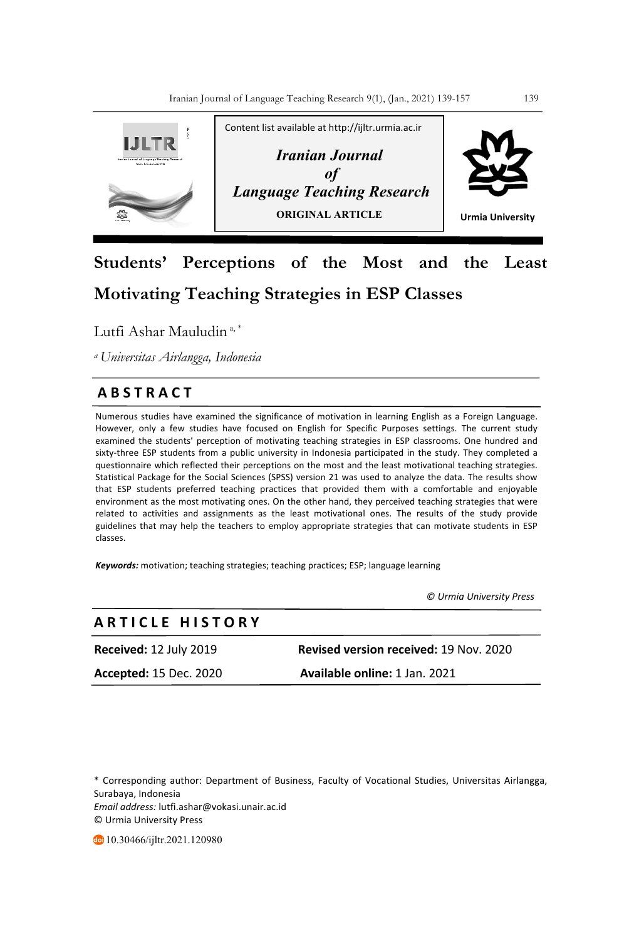

# **Students' Perceptions of the Most and the Least Motivating Teaching Strategies in ESP Classes**

Lutfi Ashar Mauludin<sup>a,\*</sup>

*a Universitas Airlangga, Indonesia* 

## **A B S T R A C T**

Numerous studies have examined the significance of motivation in learning English as a Foreign Language. However, only a few studies have focused on English for Specific Purposes settings. The current study examined the students' perception of motivating teaching strategies in ESP classrooms. One hundred and sixty-three ESP students from a public university in Indonesia participated in the study. They completed a questionnaire which reflected their perceptions on the most and the least motivational teaching strategies. Statistical Package for the Social Sciences (SPSS) version 21 was used to analyze the data. The results show that ESP students preferred teaching practices that provided them with a comfortable and enjoyable environment as the most motivating ones. On the other hand, they perceived teaching strategies that were related to activities and assignments as the least motivational ones. The results of the study provide guidelines that may help the teachers to employ appropriate strategies that can motivate students in ESP classes.

*Keywords:* motivation; teaching strategies; teaching practices; ESP; language learning

 *© Urmia University Press*

| ARTICLE HISTORY               |                                               |
|-------------------------------|-----------------------------------------------|
| <b>Received:</b> 12 July 2019 | <b>Revised version received: 19 Nov. 2020</b> |
| <b>Accepted:</b> 15 Dec. 2020 | Available online: 1 Jan. 2021                 |

\* Corresponding author: Department of Business, Faculty of Vocational Studies, Universitas Airlangga, Surabaya, Indonesia *Email address:* lutfi.ashar@vokasi.unair.ac.id © Urmia University Press

10.30466/ijltr.2021.120980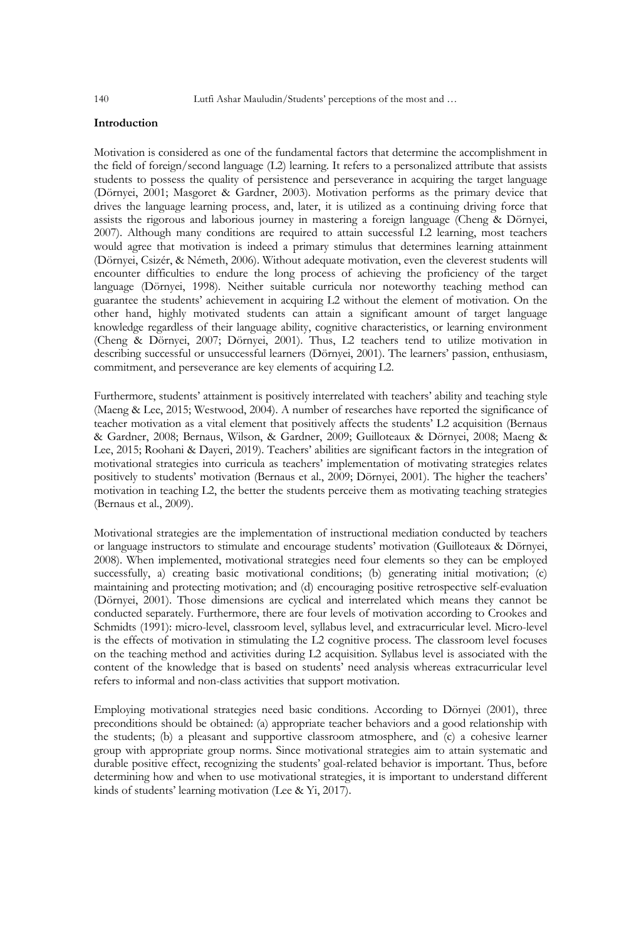## **Introduction**

Motivation is considered as one of the fundamental factors that determine the accomplishment in the field of foreign/second language (L2) learning. It refers to a personalized attribute that assists students to possess the quality of persistence and perseverance in acquiring the target language (Dörnyei, 2001; Masgoret & Gardner, 2003). Motivation performs as the primary device that drives the language learning process, and, later, it is utilized as a continuing driving force that assists the rigorous and laborious journey in mastering a foreign language (Cheng & Dörnyei, 2007). Although many conditions are required to attain successful L2 learning, most teachers would agree that motivation is indeed a primary stimulus that determines learning attainment (Dörnyei, Csizér, & Németh, 2006). Without adequate motivation, even the cleverest students will encounter difficulties to endure the long process of achieving the proficiency of the target language (Dörnyei, 1998). Neither suitable curricula nor noteworthy teaching method can guarantee the students' achievement in acquiring L2 without the element of motivation. On the other hand, highly motivated students can attain a significant amount of target language knowledge regardless of their language ability, cognitive characteristics, or learning environment (Cheng & Dörnyei, 2007; Dörnyei, 2001). Thus, L2 teachers tend to utilize motivation in describing successful or unsuccessful learners (Dörnyei, 2001). The learners' passion, enthusiasm, commitment, and perseverance are key elements of acquiring L2.

Furthermore, students' attainment is positively interrelated with teachers' ability and teaching style (Maeng & Lee, 2015; Westwood, 2004). A number of researches have reported the significance of teacher motivation as a vital element that positively affects the students' L2 acquisition (Bernaus & Gardner, 2008; Bernaus, Wilson, & Gardner, 2009; Guilloteaux & Dörnyei, 2008; Maeng & Lee, 2015; Roohani & Dayeri, 2019). Teachers' abilities are significant factors in the integration of motivational strategies into curricula as teachers' implementation of motivating strategies relates positively to students' motivation (Bernaus et al., 2009; Dörnyei, 2001). The higher the teachers' motivation in teaching L2, the better the students perceive them as motivating teaching strategies (Bernaus et al., 2009).

Motivational strategies are the implementation of instructional mediation conducted by teachers or language instructors to stimulate and encourage students' motivation (Guilloteaux & Dörnyei, 2008). When implemented, motivational strategies need four elements so they can be employed successfully, a) creating basic motivational conditions; (b) generating initial motivation; (c) maintaining and protecting motivation; and (d) encouraging positive retrospective self-evaluation (Dörnyei, 2001). Those dimensions are cyclical and interrelated which means they cannot be conducted separately. Furthermore, there are four levels of motivation according to Crookes and Schmidts (1991): micro-level, classroom level, syllabus level, and extracurricular level. Micro-level is the effects of motivation in stimulating the L2 cognitive process. The classroom level focuses on the teaching method and activities during L2 acquisition. Syllabus level is associated with the content of the knowledge that is based on students' need analysis whereas extracurricular level refers to informal and non-class activities that support motivation.

Employing motivational strategies need basic conditions. According to Dörnyei (2001), three preconditions should be obtained: (a) appropriate teacher behaviors and a good relationship with the students; (b) a pleasant and supportive classroom atmosphere, and (c) a cohesive learner group with appropriate group norms. Since motivational strategies aim to attain systematic and durable positive effect, recognizing the students' goal-related behavior is important. Thus, before determining how and when to use motivational strategies, it is important to understand different kinds of students' learning motivation (Lee & Yi, 2017).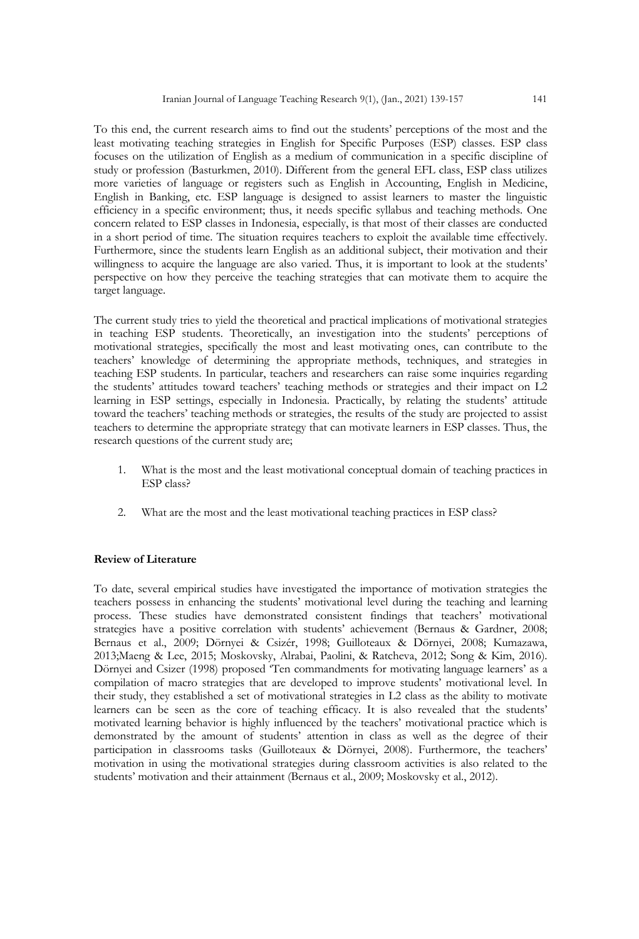To this end, the current research aims to find out the students' perceptions of the most and the least motivating teaching strategies in English for Specific Purposes (ESP) classes. ESP class focuses on the utilization of English as a medium of communication in a specific discipline of study or profession (Basturkmen, 2010). Different from the general EFL class, ESP class utilizes more varieties of language or registers such as English in Accounting, English in Medicine, English in Banking, etc. ESP language is designed to assist learners to master the linguistic efficiency in a specific environment; thus, it needs specific syllabus and teaching methods. One concern related to ESP classes in Indonesia, especially, is that most of their classes are conducted in a short period of time. The situation requires teachers to exploit the available time effectively. Furthermore, since the students learn English as an additional subject, their motivation and their willingness to acquire the language are also varied. Thus, it is important to look at the students' perspective on how they perceive the teaching strategies that can motivate them to acquire the target language.

The current study tries to yield the theoretical and practical implications of motivational strategies in teaching ESP students. Theoretically, an investigation into the students' perceptions of motivational strategies, specifically the most and least motivating ones, can contribute to the teachers' knowledge of determining the appropriate methods, techniques, and strategies in teaching ESP students. In particular, teachers and researchers can raise some inquiries regarding the students' attitudes toward teachers' teaching methods or strategies and their impact on L2 learning in ESP settings, especially in Indonesia. Practically, by relating the students' attitude toward the teachers' teaching methods or strategies, the results of the study are projected to assist teachers to determine the appropriate strategy that can motivate learners in ESP classes. Thus, the research questions of the current study are;

- 1. What is the most and the least motivational conceptual domain of teaching practices in ESP class?
- 2. What are the most and the least motivational teaching practices in ESP class?

#### **Review of Literature**

To date, several empirical studies have investigated the importance of motivation strategies the teachers possess in enhancing the students' motivational level during the teaching and learning process. These studies have demonstrated consistent findings that teachers' motivational strategies have a positive correlation with students' achievement (Bernaus & Gardner, 2008; Bernaus et al., 2009; Dörnyei & Csizér, 1998; Guilloteaux & Dörnyei, 2008; Kumazawa, 2013;Maeng & Lee, 2015; Moskovsky, Alrabai, Paolini, & Ratcheva, 2012; Song & Kim, 2016). Dörnyei and Csizer (1998) proposed 'Ten commandments for motivating language learners' as a compilation of macro strategies that are developed to improve students' motivational level. In their study, they established a set of motivational strategies in L2 class as the ability to motivate learners can be seen as the core of teaching efficacy. It is also revealed that the students' motivated learning behavior is highly influenced by the teachers' motivational practice which is demonstrated by the amount of students' attention in class as well as the degree of their participation in classrooms tasks (Guilloteaux & Dörnyei, 2008). Furthermore, the teachers' motivation in using the motivational strategies during classroom activities is also related to the students' motivation and their attainment (Bernaus et al., 2009; Moskovsky et al., 2012).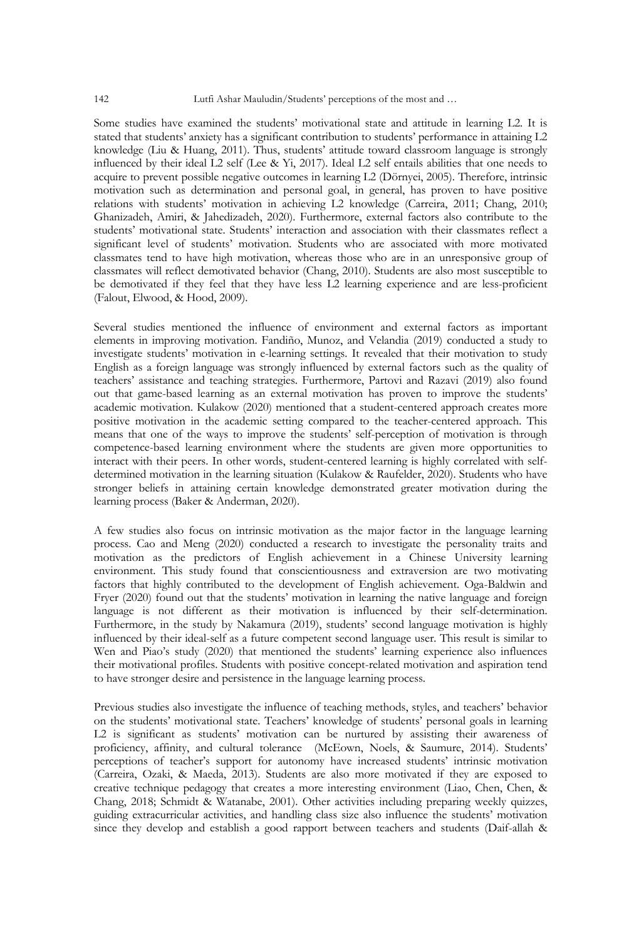Some studies have examined the students' motivational state and attitude in learning L2. It is stated that students' anxiety has a significant contribution to students' performance in attaining L2 knowledge (Liu & Huang, 2011). Thus, students' attitude toward classroom language is strongly influenced by their ideal L2 self (Lee & Yi, 2017). Ideal L2 self entails abilities that one needs to acquire to prevent possible negative outcomes in learning L2 (Dörnyei, 2005). Therefore, intrinsic motivation such as determination and personal goal, in general, has proven to have positive relations with students' motivation in achieving L2 knowledge (Carreira, 2011; Chang, 2010; Ghanizadeh, Amiri, & Jahedizadeh, 2020). Furthermore, external factors also contribute to the students' motivational state. Students' interaction and association with their classmates reflect a significant level of students' motivation. Students who are associated with more motivated classmates tend to have high motivation, whereas those who are in an unresponsive group of classmates will reflect demotivated behavior (Chang, 2010). Students are also most susceptible to be demotivated if they feel that they have less L2 learning experience and are less-proficient (Falout, Elwood, & Hood, 2009).

Several studies mentioned the influence of environment and external factors as important elements in improving motivation. Fandiño, Munoz, and Velandia (2019) conducted a study to investigate students' motivation in e-learning settings. It revealed that their motivation to study English as a foreign language was strongly influenced by external factors such as the quality of teachers' assistance and teaching strategies. Furthermore, Partovi and Razavi (2019) also found out that game-based learning as an external motivation has proven to improve the students' academic motivation. Kulakow (2020) mentioned that a student-centered approach creates more positive motivation in the academic setting compared to the teacher-centered approach. This means that one of the ways to improve the students' self-perception of motivation is through competence-based learning environment where the students are given more opportunities to interact with their peers. In other words, student-centered learning is highly correlated with selfdetermined motivation in the learning situation (Kulakow & Raufelder, 2020). Students who have stronger beliefs in attaining certain knowledge demonstrated greater motivation during the learning process (Baker & Anderman, 2020).

A few studies also focus on intrinsic motivation as the major factor in the language learning process. Cao and Meng (2020) conducted a research to investigate the personality traits and motivation as the predictors of English achievement in a Chinese University learning environment. This study found that conscientiousness and extraversion are two motivating factors that highly contributed to the development of English achievement. Oga-Baldwin and Fryer (2020) found out that the students' motivation in learning the native language and foreign language is not different as their motivation is influenced by their self-determination. Furthermore, in the study by Nakamura (2019), students' second language motivation is highly influenced by their ideal-self as a future competent second language user. This result is similar to Wen and Piao's study (2020) that mentioned the students' learning experience also influences their motivational profiles. Students with positive concept-related motivation and aspiration tend to have stronger desire and persistence in the language learning process.

Previous studies also investigate the influence of teaching methods, styles, and teachers' behavior on the students' motivational state. Teachers' knowledge of students' personal goals in learning L2 is significant as students' motivation can be nurtured by assisting their awareness of proficiency, affinity, and cultural tolerance (McEown, Noels, & Saumure, 2014). Students' perceptions of teacher's support for autonomy have increased students' intrinsic motivation (Carreira, Ozaki, & Maeda, 2013). Students are also more motivated if they are exposed to creative technique pedagogy that creates a more interesting environment (Liao, Chen, Chen, & Chang, 2018; Schmidt & Watanabe, 2001). Other activities including preparing weekly quizzes, guiding extracurricular activities, and handling class size also influence the students' motivation since they develop and establish a good rapport between teachers and students (Daif-allah &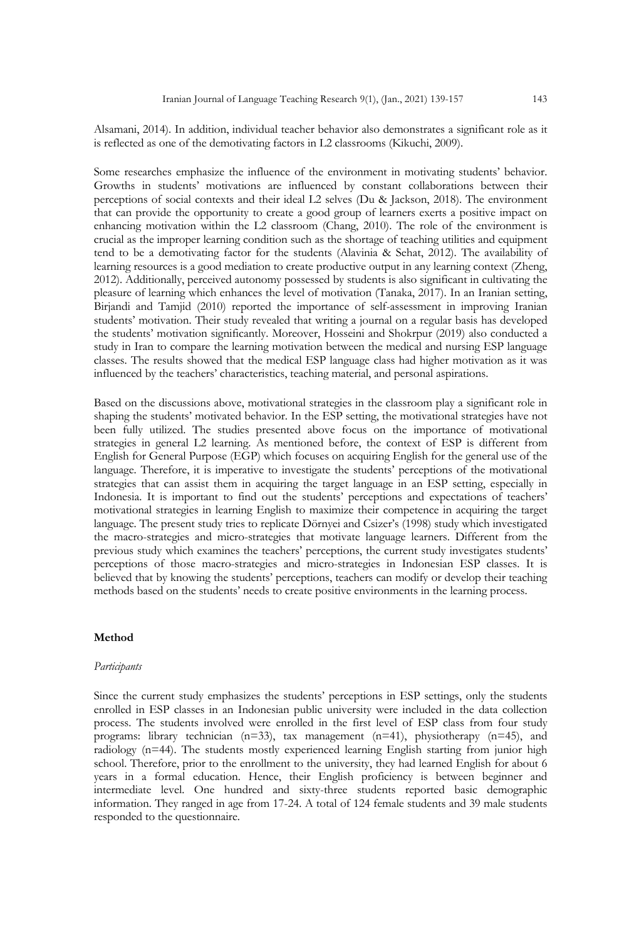Alsamani, 2014). In addition, individual teacher behavior also demonstrates a significant role as it is reflected as one of the demotivating factors in L2 classrooms (Kikuchi, 2009).

Some researches emphasize the influence of the environment in motivating students' behavior. Growths in students' motivations are influenced by constant collaborations between their perceptions of social contexts and their ideal L2 selves (Du & Jackson, 2018). The environment that can provide the opportunity to create a good group of learners exerts a positive impact on enhancing motivation within the L2 classroom (Chang, 2010). The role of the environment is crucial as the improper learning condition such as the shortage of teaching utilities and equipment tend to be a demotivating factor for the students (Alavinia & Sehat, 2012). The availability of learning resources is a good mediation to create productive output in any learning context (Zheng, 2012). Additionally, perceived autonomy possessed by students is also significant in cultivating the pleasure of learning which enhances the level of motivation (Tanaka, 2017). In an Iranian setting, Birjandi and Tamjid (2010) reported the importance of self-assessment in improving Iranian students' motivation. Their study revealed that writing a journal on a regular basis has developed the students' motivation significantly. Moreover, Hosseini and Shokrpur (2019) also conducted a study in Iran to compare the learning motivation between the medical and nursing ESP language classes. The results showed that the medical ESP language class had higher motivation as it was influenced by the teachers' characteristics, teaching material, and personal aspirations.

Based on the discussions above, motivational strategies in the classroom play a significant role in shaping the students' motivated behavior. In the ESP setting, the motivational strategies have not been fully utilized. The studies presented above focus on the importance of motivational strategies in general L2 learning. As mentioned before, the context of ESP is different from English for General Purpose (EGP) which focuses on acquiring English for the general use of the language. Therefore, it is imperative to investigate the students' perceptions of the motivational strategies that can assist them in acquiring the target language in an ESP setting, especially in Indonesia. It is important to find out the students' perceptions and expectations of teachers' motivational strategies in learning English to maximize their competence in acquiring the target language. The present study tries to replicate Dörnyei and Csizer's (1998) study which investigated the macro-strategies and micro-strategies that motivate language learners. Different from the previous study which examines the teachers' perceptions, the current study investigates students' perceptions of those macro-strategies and micro-strategies in Indonesian ESP classes. It is believed that by knowing the students' perceptions, teachers can modify or develop their teaching methods based on the students' needs to create positive environments in the learning process.

## **Method**

#### *Participants*

Since the current study emphasizes the students' perceptions in ESP settings, only the students enrolled in ESP classes in an Indonesian public university were included in the data collection process. The students involved were enrolled in the first level of ESP class from four study programs: library technician (n=33), tax management (n=41), physiotherapy (n=45), and radiology (n=44). The students mostly experienced learning English starting from junior high school. Therefore, prior to the enrollment to the university, they had learned English for about 6 years in a formal education. Hence, their English proficiency is between beginner and intermediate level. One hundred and sixty-three students reported basic demographic information. They ranged in age from 17-24. A total of 124 female students and 39 male students responded to the questionnaire.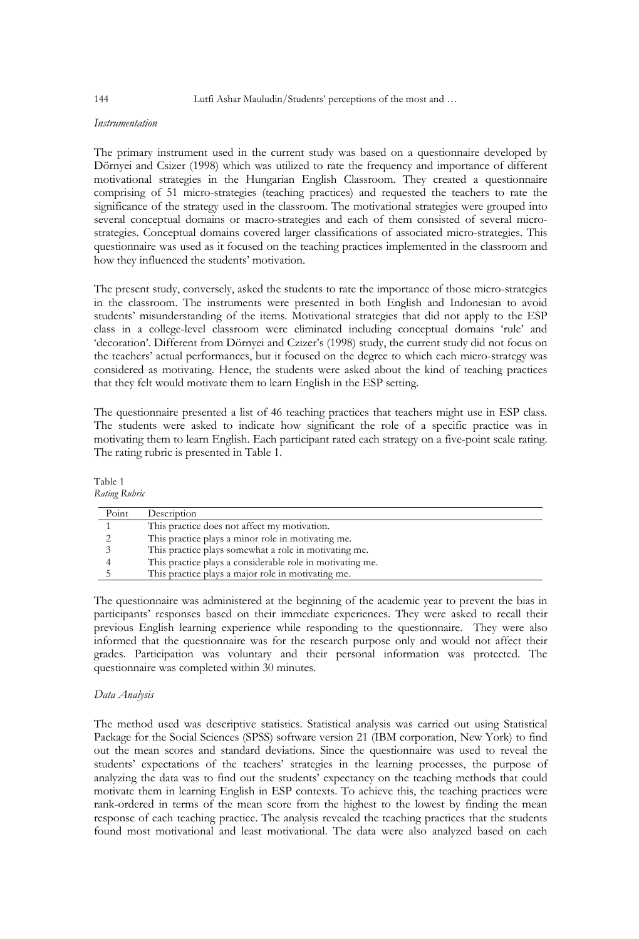#### *Instrumentation*

The primary instrument used in the current study was based on a questionnaire developed by Dörnyei and Csizer (1998) which was utilized to rate the frequency and importance of different motivational strategies in the Hungarian English Classroom. They created a questionnaire comprising of 51 micro-strategies (teaching practices) and requested the teachers to rate the significance of the strategy used in the classroom. The motivational strategies were grouped into several conceptual domains or macro-strategies and each of them consisted of several microstrategies. Conceptual domains covered larger classifications of associated micro-strategies. This questionnaire was used as it focused on the teaching practices implemented in the classroom and how they influenced the students' motivation.

The present study, conversely, asked the students to rate the importance of those micro-strategies in the classroom. The instruments were presented in both English and Indonesian to avoid students' misunderstanding of the items. Motivational strategies that did not apply to the ESP class in a college-level classroom were eliminated including conceptual domains 'rule' and 'decoration'. Different from Dörnyei and Czizer's (1998) study, the current study did not focus on the teachers' actual performances, but it focused on the degree to which each micro-strategy was considered as motivating. Hence, the students were asked about the kind of teaching practices that they felt would motivate them to learn English in the ESP setting.

The questionnaire presented a list of 46 teaching practices that teachers might use in ESP class. The students were asked to indicate how significant the role of a specific practice was in motivating them to learn English. Each participant rated each strategy on a five-point scale rating. The rating rubric is presented in Table 1.

Table 1 *Rating Rubric*

| Point | Description                                               |
|-------|-----------------------------------------------------------|
|       | This practice does not affect my motivation.              |
|       | This practice plays a minor role in motivating me.        |
|       | This practice plays somewhat a role in motivating me.     |
|       | This practice plays a considerable role in motivating me. |
|       | This practice plays a major role in motivating me.        |

The questionnaire was administered at the beginning of the academic year to prevent the bias in participants' responses based on their immediate experiences. They were asked to recall their previous English learning experience while responding to the questionnaire. They were also informed that the questionnaire was for the research purpose only and would not affect their grades. Participation was voluntary and their personal information was protected. The questionnaire was completed within 30 minutes.

## *Data Analysis*

The method used was descriptive statistics. Statistical analysis was carried out using Statistical Package for the Social Sciences (SPSS) software version 21 (IBM corporation, New York) to find out the mean scores and standard deviations. Since the questionnaire was used to reveal the students' expectations of the teachers' strategies in the learning processes, the purpose of analyzing the data was to find out the students' expectancy on the teaching methods that could motivate them in learning English in ESP contexts. To achieve this, the teaching practices were rank-ordered in terms of the mean score from the highest to the lowest by finding the mean response of each teaching practice. The analysis revealed the teaching practices that the students found most motivational and least motivational. The data were also analyzed based on each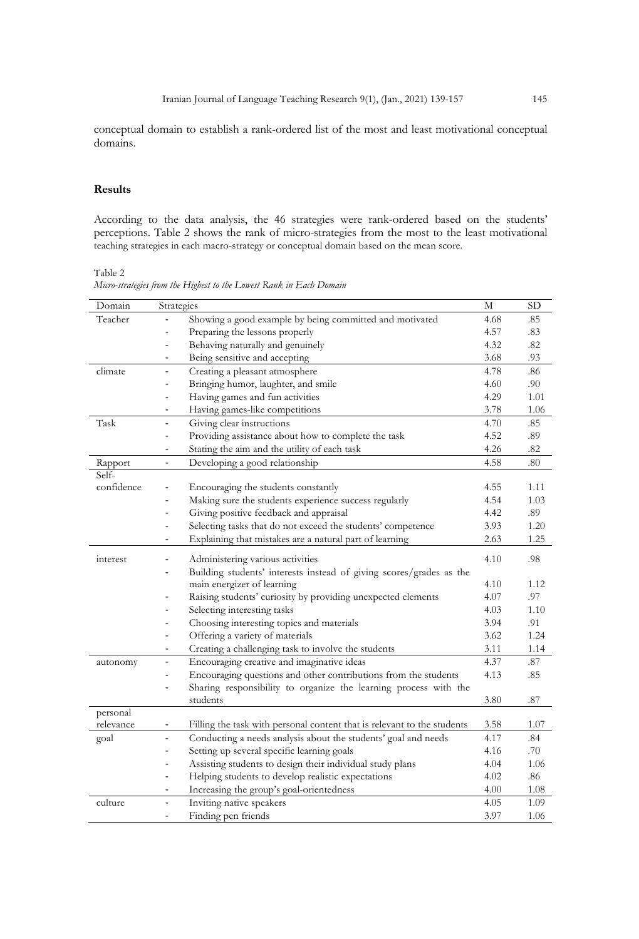conceptual domain to establish a rank-ordered list of the most and least motivational conceptual domains.

## **Results**

According to the data analysis, the 46 strategies were rank-ordered based on the students' perceptions. Table 2 shows the rank of micro-strategies from the most to the least motivational teaching strategies in each macro-strategy or conceptual domain based on the mean score.

#### Table 2

| Micro-strategies from the Highest to the Lowest Rank in Each Domain |  |  |  |
|---------------------------------------------------------------------|--|--|--|
|---------------------------------------------------------------------|--|--|--|

| Domain     | Strategies                                                                                  | М    | <b>SD</b> |
|------------|---------------------------------------------------------------------------------------------|------|-----------|
| Teacher    | Showing a good example by being committed and motivated                                     | 4.68 | .85       |
|            | Preparing the lessons properly                                                              | 4.57 | .83       |
|            | Behaving naturally and genuinely<br>$\equiv$                                                | 4.32 | .82       |
|            | Being sensitive and accepting<br>$\frac{1}{2}$                                              | 3.68 | .93       |
| climate    | Creating a pleasant atmosphere<br>$\overline{\phantom{a}}$                                  | 4.78 | .86       |
|            | Bringing humor, laughter, and smile<br>$\frac{1}{2}$                                        | 4.60 | .90       |
|            | Having games and fun activities<br>$\blacksquare$                                           | 4.29 | 1.01      |
|            | Having games-like competitions<br>$\blacksquare$                                            | 3.78 | 1.06      |
| Task       | Giving clear instructions<br>$\blacksquare$                                                 | 4.70 | .85       |
|            | Providing assistance about how to complete the task<br>$\blacksquare$                       | 4.52 | .89       |
|            | Stating the aim and the utility of each task                                                | 4.26 | .82       |
| Rapport    | Developing a good relationship<br>$\overline{\phantom{a}}$                                  | 4.58 | .80       |
| Self-      |                                                                                             |      |           |
| confidence | Encouraging the students constantly                                                         | 4.55 | 1.11      |
|            | Making sure the students experience success regularly                                       | 4.54 | 1.03      |
|            | Giving positive feedback and appraisal<br>L.                                                | 4.42 | .89       |
|            | Selecting tasks that do not exceed the students' competence<br>$\qquad \qquad \blacksquare$ | 3.93 | 1.20      |
|            | Explaining that mistakes are a natural part of learning<br>-                                | 2.63 | 1.25      |
| interest   | Administering various activities                                                            | 4.10 | .98       |
|            | Building students' interests instead of giving scores/grades as the                         |      |           |
|            | main energizer of learning                                                                  | 4.10 | 1.12      |
|            | Raising students' curiosity by providing unexpected elements                                | 4.07 | .97       |
|            | Selecting interesting tasks                                                                 | 4.03 | 1.10      |
|            | Choosing interesting topics and materials<br>٠                                              | 3.94 | .91       |
|            | Offering a variety of materials<br>$\blacksquare$                                           | 3.62 | 1.24      |
|            | Creating a challenging task to involve the students<br>$\qquad \qquad \blacksquare$         | 3.11 | 1.14      |
| autonomy   | Encouraging creative and imaginative ideas<br>$\frac{1}{2}$                                 | 4.37 | .87       |
|            | Encouraging questions and other contributions from the students<br>$\overline{\phantom{a}}$ | 4.13 | .85       |
|            | Sharing responsibility to organize the learning process with the<br>÷,                      |      |           |
|            | students                                                                                    | 3.80 | .87       |
| personal   |                                                                                             |      |           |
| relevance  | Filling the task with personal content that is relevant to the students                     | 3.58 | 1.07      |
| goal       | Conducting a needs analysis about the students' goal and needs<br>÷.                        | 4.17 | .84       |
|            | Setting up several specific learning goals<br>$\blacksquare$                                | 4.16 | .70       |
|            | Assisting students to design their individual study plans<br>$\frac{1}{2}$                  | 4.04 | 1.06      |
|            | Helping students to develop realistic expectations<br>$\frac{1}{2}$                         | 4.02 | .86       |
|            | Increasing the group's goal-orientedness<br>$\qquad \qquad \blacksquare$                    | 4.00 | 1.08      |
| culture    | Inviting native speakers                                                                    | 4.05 | 1.09      |
|            | Finding pen friends<br>$\blacksquare$                                                       | 3.97 | 1.06      |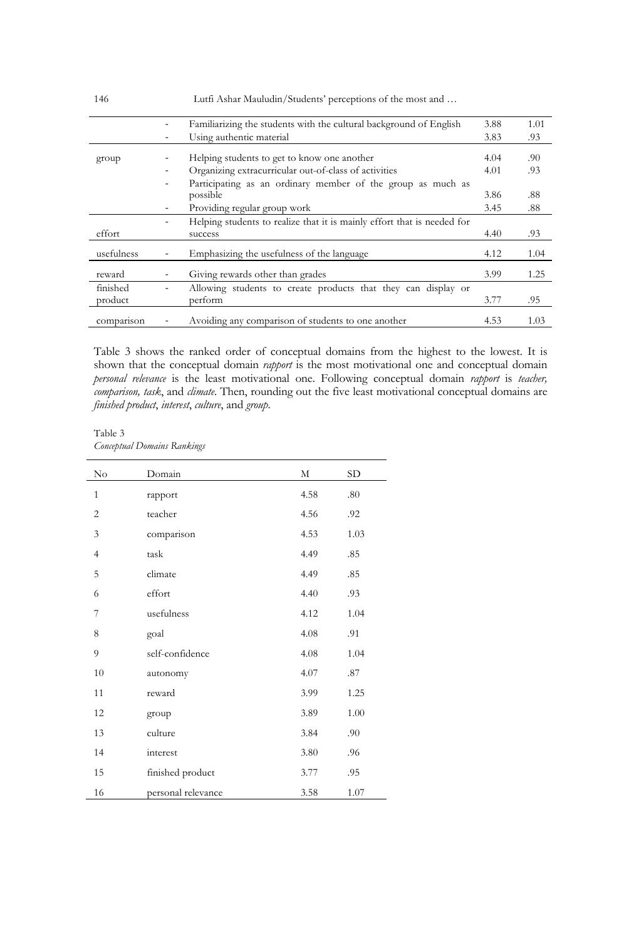|            | Familianzing the students with the cultural background of English       | 3.88 | 1.01 |
|------------|-------------------------------------------------------------------------|------|------|
|            | Using authentic material                                                | 3.83 | .93  |
| group      | Helping students to get to know one another                             | 4.04 | .90  |
|            | Organizing extracurricular out-of-class of activities                   | 4.01 | .93  |
|            | Participating as an ordinary member of the group as much as             |      |      |
|            | possible                                                                | 3.86 | .88  |
|            | Providing regular group work                                            | 3.45 | .88  |
|            | Helping students to realize that it is mainly effort that is needed for |      |      |
| effort     | success                                                                 | 4.40 | .93  |
| usefulness | Emphasizing the usefulness of the language                              | 4.12 | 1.04 |
| reward     | Giving rewards other than grades                                        | 3.99 | 1.25 |
| finished   | Allowing students to create products that they can display or           |      |      |
| product    | perform                                                                 | 3.77 | .95  |
| comparison | Avoiding any comparison of students to one another                      | 4.53 | 1.03 |

Table 3 shows the ranked order of conceptual domains from the highest to the lowest. It is shown that the conceptual domain *rapport* is the most motivational one and conceptual domain *personal relevance* is the least motivational one. Following conceptual domain *rapport* is *teacher, comparison, task*, and *climate*. Then, rounding out the five least motivational conceptual domains are *finished product*, *interest*, *culture*, and *group*.

Table 3 *Conceptual Domains Rankings*

| No             | Domain             | М    | SD.  |
|----------------|--------------------|------|------|
| $\mathbf{1}$   | rapport            | 4.58 | .80  |
| $\overline{2}$ | teacher            | 4.56 | .92  |
| 3              | comparison         | 4.53 | 1.03 |
| $\overline{4}$ | task               | 4.49 | .85  |
| 5              | climate            | 4.49 | .85  |
| 6              | effort             | 4.40 | .93  |
| 7              | usefulness         | 4.12 | 1.04 |
| 8              | goal               | 4.08 | .91  |
| 9              | self-confidence    | 4.08 | 1.04 |
| 10             | autonomy           | 4.07 | .87  |
| 11             | reward             | 3.99 | 1.25 |
| 12             | group              | 3.89 | 1.00 |
| 13             | culture            | 3.84 | .90  |
| 14             | interest           | 3.80 | .96  |
| 15             | finished product   | 3.77 | .95  |
| 16             | personal relevance | 3.58 | 1.07 |

146 Lutfi Ashar Mauludin/Students' perceptions of the most and …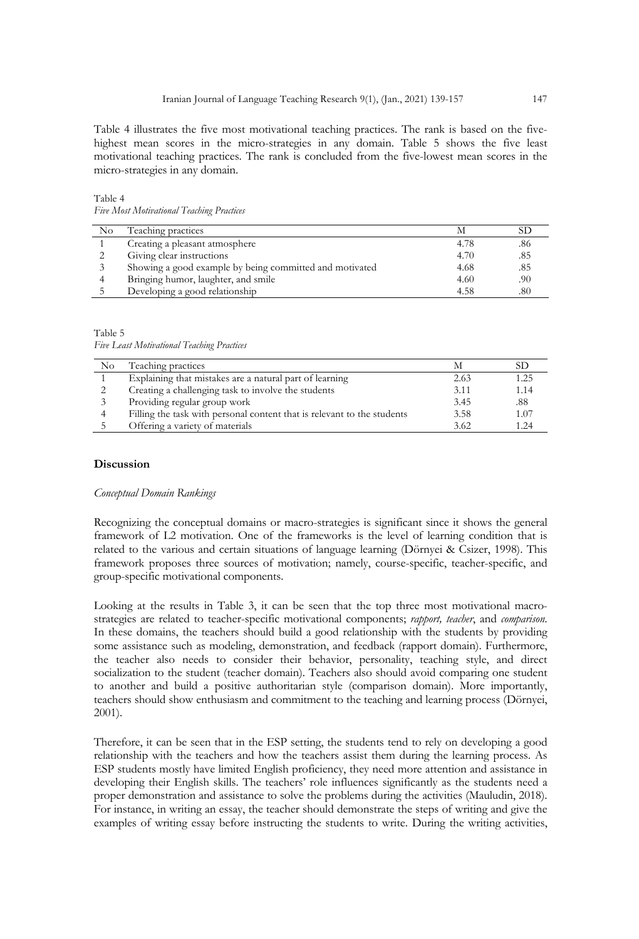Table 4 illustrates the five most motivational teaching practices. The rank is based on the fivehighest mean scores in the micro-strategies in any domain. Table 5 shows the five least motivational teaching practices. The rank is concluded from the five-lowest mean scores in the micro-strategies in any domain.

Table 4 *Five Most Motivational Teaching Practices* 

| No | Teaching practices                                      | М    |     |
|----|---------------------------------------------------------|------|-----|
|    | Creating a pleasant atmosphere                          | 4.78 | .86 |
|    | Giving clear instructions                               | 4.70 | .85 |
|    | Showing a good example by being committed and motivated | 4.68 | .85 |
|    | Bringing humor, laughter, and smile                     | 4.60 | .90 |
|    | Developing a good relationship                          | 4.58 | .80 |

Table 5 *Five Least Motivational Teaching Practices* 

| N <sub>o</sub> | Teaching practices                                                      |      | SD   |
|----------------|-------------------------------------------------------------------------|------|------|
|                | Explaining that mistakes are a natural part of learning                 | 2.63 | 1.25 |
|                | Creating a challenging task to involve the students                     | 3.11 | 1.14 |
|                | Providing regular group work                                            | 3.45 | .88  |
|                | Filling the task with personal content that is relevant to the students | 3.58 | 1.07 |
|                | Offering a variety of materials                                         | 3.62 | 1.24 |

## **Discussion**

#### *Conceptual Domain Rankings*

Recognizing the conceptual domains or macro-strategies is significant since it shows the general framework of L2 motivation. One of the frameworks is the level of learning condition that is related to the various and certain situations of language learning (Dörnyei & Csizer, 1998). This framework proposes three sources of motivation; namely, course-specific, teacher-specific, and group-specific motivational components.

Looking at the results in Table 3, it can be seen that the top three most motivational macrostrategies are related to teacher-specific motivational components; *rapport, teacher*, and *comparison*. In these domains, the teachers should build a good relationship with the students by providing some assistance such as modeling, demonstration, and feedback (rapport domain). Furthermore, the teacher also needs to consider their behavior, personality, teaching style, and direct socialization to the student (teacher domain). Teachers also should avoid comparing one student to another and build a positive authoritarian style (comparison domain). More importantly, teachers should show enthusiasm and commitment to the teaching and learning process (Dörnyei, 2001).

Therefore, it can be seen that in the ESP setting, the students tend to rely on developing a good relationship with the teachers and how the teachers assist them during the learning process. As ESP students mostly have limited English proficiency, they need more attention and assistance in developing their English skills. The teachers' role influences significantly as the students need a proper demonstration and assistance to solve the problems during the activities (Mauludin, 2018). For instance, in writing an essay, the teacher should demonstrate the steps of writing and give the examples of writing essay before instructing the students to write. During the writing activities,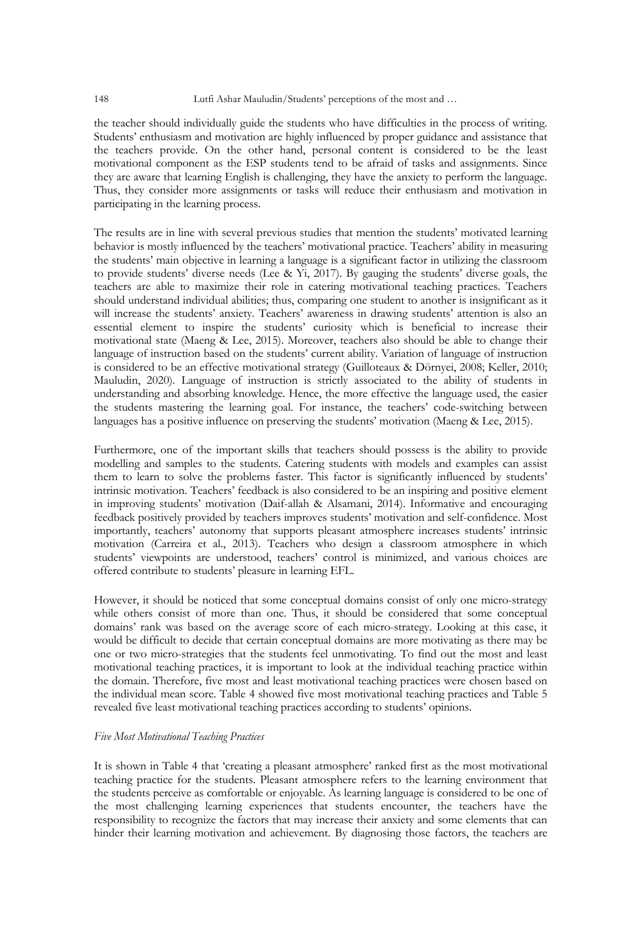#### 148 Lutfi Ashar Mauludin/Students' perceptions of the most and …

the teacher should individually guide the students who have difficulties in the process of writing. Students' enthusiasm and motivation are highly influenced by proper guidance and assistance that the teachers provide. On the other hand, personal content is considered to be the least motivational component as the ESP students tend to be afraid of tasks and assignments. Since they are aware that learning English is challenging, they have the anxiety to perform the language. Thus, they consider more assignments or tasks will reduce their enthusiasm and motivation in participating in the learning process.

The results are in line with several previous studies that mention the students' motivated learning behavior is mostly influenced by the teachers' motivational practice. Teachers' ability in measuring the students' main objective in learning a language is a significant factor in utilizing the classroom to provide students' diverse needs (Lee & Yi, 2017). By gauging the students' diverse goals, the teachers are able to maximize their role in catering motivational teaching practices. Teachers should understand individual abilities; thus, comparing one student to another is insignificant as it will increase the students' anxiety. Teachers' awareness in drawing students' attention is also an essential element to inspire the students' curiosity which is beneficial to increase their motivational state (Maeng & Lee, 2015). Moreover, teachers also should be able to change their language of instruction based on the students' current ability. Variation of language of instruction is considered to be an effective motivational strategy (Guilloteaux & Dörnyei, 2008; Keller, 2010; Mauludin, 2020). Language of instruction is strictly associated to the ability of students in understanding and absorbing knowledge. Hence, the more effective the language used, the easier the students mastering the learning goal. For instance, the teachers' code-switching between languages has a positive influence on preserving the students' motivation (Maeng & Lee, 2015).

Furthermore, one of the important skills that teachers should possess is the ability to provide modelling and samples to the students. Catering students with models and examples can assist them to learn to solve the problems faster. This factor is significantly influenced by students' intrinsic motivation. Teachers' feedback is also considered to be an inspiring and positive element in improving students' motivation (Daif-allah & Alsamani, 2014). Informative and encouraging feedback positively provided by teachers improves students' motivation and self-confidence. Most importantly, teachers' autonomy that supports pleasant atmosphere increases students' intrinsic motivation (Carreira et al., 2013). Teachers who design a classroom atmosphere in which students' viewpoints are understood, teachers' control is minimized, and various choices are offered contribute to students' pleasure in learning EFL.

However, it should be noticed that some conceptual domains consist of only one micro-strategy while others consist of more than one. Thus, it should be considered that some conceptual domains' rank was based on the average score of each micro-strategy. Looking at this case, it would be difficult to decide that certain conceptual domains are more motivating as there may be one or two micro-strategies that the students feel unmotivating. To find out the most and least motivational teaching practices, it is important to look at the individual teaching practice within the domain. Therefore, five most and least motivational teaching practices were chosen based on the individual mean score. Table 4 showed five most motivational teaching practices and Table 5 revealed five least motivational teaching practices according to students' opinions.

## *Five Most Motivational Teaching Practices*

It is shown in Table 4 that 'creating a pleasant atmosphere' ranked first as the most motivational teaching practice for the students. Pleasant atmosphere refers to the learning environment that the students perceive as comfortable or enjoyable. As learning language is considered to be one of the most challenging learning experiences that students encounter, the teachers have the responsibility to recognize the factors that may increase their anxiety and some elements that can hinder their learning motivation and achievement. By diagnosing those factors, the teachers are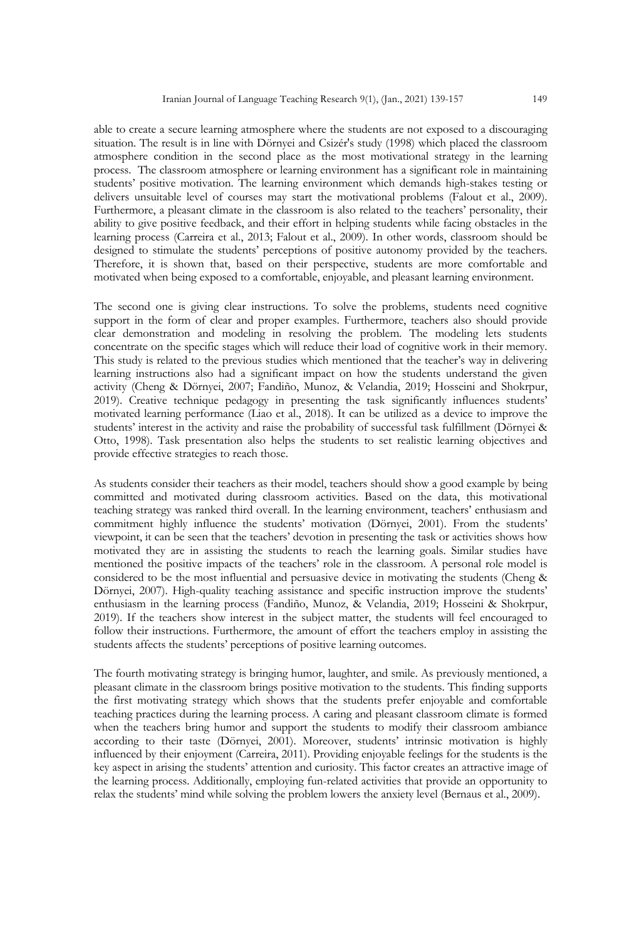able to create a secure learning atmosphere where the students are not exposed to a discouraging situation. The result is in line with Dörnyei and Csizér's study (1998) which placed the classroom atmosphere condition in the second place as the most motivational strategy in the learning process. The classroom atmosphere or learning environment has a significant role in maintaining students' positive motivation. The learning environment which demands high-stakes testing or delivers unsuitable level of courses may start the motivational problems (Falout et al., 2009). Furthermore, a pleasant climate in the classroom is also related to the teachers' personality, their ability to give positive feedback, and their effort in helping students while facing obstacles in the learning process (Carreira et al., 2013; Falout et al., 2009). In other words, classroom should be designed to stimulate the students' perceptions of positive autonomy provided by the teachers. Therefore, it is shown that, based on their perspective, students are more comfortable and motivated when being exposed to a comfortable, enjoyable, and pleasant learning environment.

The second one is giving clear instructions. To solve the problems, students need cognitive support in the form of clear and proper examples. Furthermore, teachers also should provide clear demonstration and modeling in resolving the problem. The modeling lets students concentrate on the specific stages which will reduce their load of cognitive work in their memory. This study is related to the previous studies which mentioned that the teacher's way in delivering learning instructions also had a significant impact on how the students understand the given activity (Cheng & Dörnyei, 2007; Fandiño, Munoz, & Velandia, 2019; Hosseini and Shokrpur, 2019). Creative technique pedagogy in presenting the task significantly influences students' motivated learning performance (Liao et al., 2018). It can be utilized as a device to improve the students' interest in the activity and raise the probability of successful task fulfillment (Dörnyei & Otto, 1998). Task presentation also helps the students to set realistic learning objectives and provide effective strategies to reach those.

As students consider their teachers as their model, teachers should show a good example by being committed and motivated during classroom activities. Based on the data, this motivational teaching strategy was ranked third overall. In the learning environment, teachers' enthusiasm and commitment highly influence the students' motivation (Dörnyei, 2001). From the students' viewpoint, it can be seen that the teachers' devotion in presenting the task or activities shows how motivated they are in assisting the students to reach the learning goals. Similar studies have mentioned the positive impacts of the teachers' role in the classroom. A personal role model is considered to be the most influential and persuasive device in motivating the students (Cheng & Dörnyei, 2007). High-quality teaching assistance and specific instruction improve the students' enthusiasm in the learning process (Fandiño, Munoz, & Velandia, 2019; Hosseini & Shokrpur, 2019). If the teachers show interest in the subject matter, the students will feel encouraged to follow their instructions. Furthermore, the amount of effort the teachers employ in assisting the students affects the students' perceptions of positive learning outcomes.

The fourth motivating strategy is bringing humor, laughter, and smile. As previously mentioned, a pleasant climate in the classroom brings positive motivation to the students. This finding supports the first motivating strategy which shows that the students prefer enjoyable and comfortable teaching practices during the learning process. A caring and pleasant classroom climate is formed when the teachers bring humor and support the students to modify their classroom ambiance according to their taste (Dörnyei, 2001). Moreover, students' intrinsic motivation is highly influenced by their enjoyment (Carreira, 2011). Providing enjoyable feelings for the students is the key aspect in arising the students' attention and curiosity. This factor creates an attractive image of the learning process. Additionally, employing fun-related activities that provide an opportunity to relax the students' mind while solving the problem lowers the anxiety level (Bernaus et al., 2009).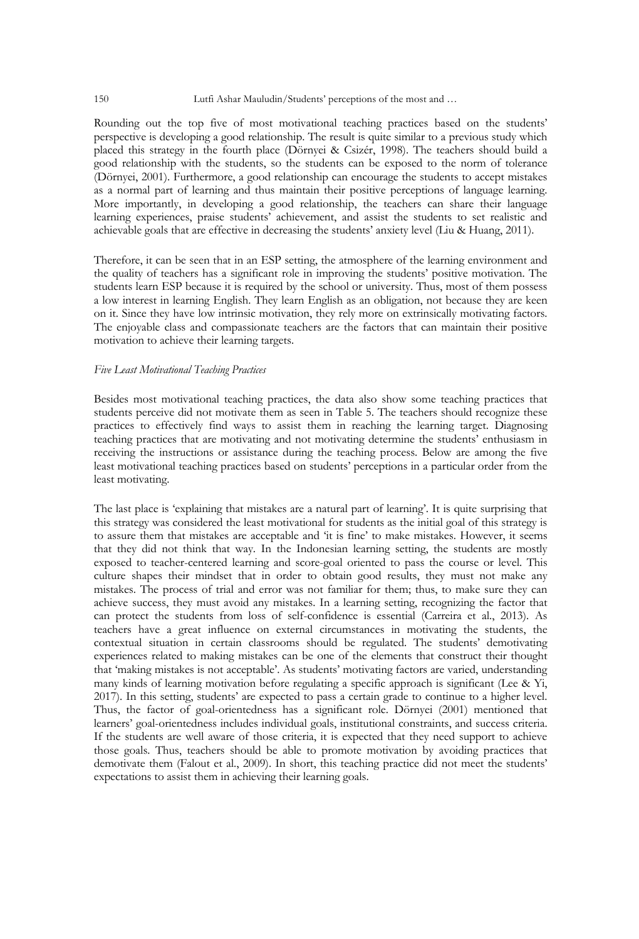#### 150 Lutfi Ashar Mauludin/Students' perceptions of the most and …

Rounding out the top five of most motivational teaching practices based on the students' perspective is developing a good relationship. The result is quite similar to a previous study which placed this strategy in the fourth place (Dörnyei & Csizér, 1998). The teachers should build a good relationship with the students, so the students can be exposed to the norm of tolerance (Dörnyei, 2001). Furthermore, a good relationship can encourage the students to accept mistakes as a normal part of learning and thus maintain their positive perceptions of language learning. More importantly, in developing a good relationship, the teachers can share their language learning experiences, praise students' achievement, and assist the students to set realistic and achievable goals that are effective in decreasing the students' anxiety level (Liu & Huang, 2011).

Therefore, it can be seen that in an ESP setting, the atmosphere of the learning environment and the quality of teachers has a significant role in improving the students' positive motivation. The students learn ESP because it is required by the school or university. Thus, most of them possess a low interest in learning English. They learn English as an obligation, not because they are keen on it. Since they have low intrinsic motivation, they rely more on extrinsically motivating factors. The enjoyable class and compassionate teachers are the factors that can maintain their positive motivation to achieve their learning targets.

#### *Five Least Motivational Teaching Practices*

Besides most motivational teaching practices, the data also show some teaching practices that students perceive did not motivate them as seen in Table 5. The teachers should recognize these practices to effectively find ways to assist them in reaching the learning target. Diagnosing teaching practices that are motivating and not motivating determine the students' enthusiasm in receiving the instructions or assistance during the teaching process. Below are among the five least motivational teaching practices based on students' perceptions in a particular order from the least motivating.

The last place is 'explaining that mistakes are a natural part of learning'. It is quite surprising that this strategy was considered the least motivational for students as the initial goal of this strategy is to assure them that mistakes are acceptable and 'it is fine' to make mistakes. However, it seems that they did not think that way. In the Indonesian learning setting, the students are mostly exposed to teacher-centered learning and score-goal oriented to pass the course or level. This culture shapes their mindset that in order to obtain good results, they must not make any mistakes. The process of trial and error was not familiar for them; thus, to make sure they can achieve success, they must avoid any mistakes. In a learning setting, recognizing the factor that can protect the students from loss of self-confidence is essential (Carreira et al., 2013). As teachers have a great influence on external circumstances in motivating the students, the contextual situation in certain classrooms should be regulated. The students' demotivating experiences related to making mistakes can be one of the elements that construct their thought that 'making mistakes is not acceptable'. As students' motivating factors are varied, understanding many kinds of learning motivation before regulating a specific approach is significant (Lee & Yi, 2017). In this setting, students' are expected to pass a certain grade to continue to a higher level. Thus, the factor of goal-orientedness has a significant role. Dörnyei (2001) mentioned that learners' goal-orientedness includes individual goals, institutional constraints, and success criteria. If the students are well aware of those criteria, it is expected that they need support to achieve those goals. Thus, teachers should be able to promote motivation by avoiding practices that demotivate them (Falout et al., 2009). In short, this teaching practice did not meet the students' expectations to assist them in achieving their learning goals.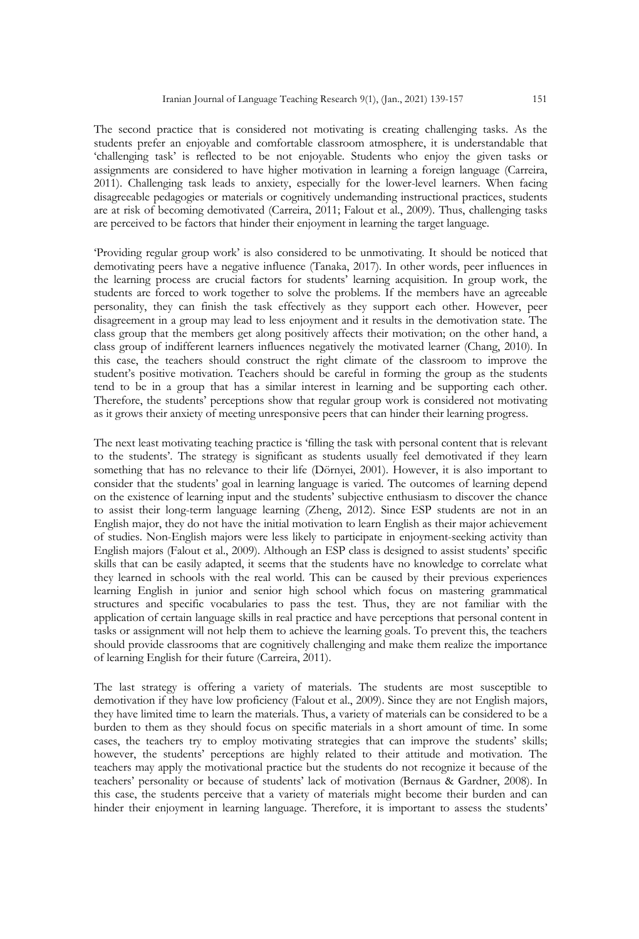The second practice that is considered not motivating is creating challenging tasks. As the students prefer an enjoyable and comfortable classroom atmosphere, it is understandable that 'challenging task' is reflected to be not enjoyable. Students who enjoy the given tasks or assignments are considered to have higher motivation in learning a foreign language (Carreira, 2011). Challenging task leads to anxiety, especially for the lower-level learners. When facing disagreeable pedagogies or materials or cognitively undemanding instructional practices, students are at risk of becoming demotivated (Carreira, 2011; Falout et al., 2009). Thus, challenging tasks are perceived to be factors that hinder their enjoyment in learning the target language.

'Providing regular group work' is also considered to be unmotivating. It should be noticed that demotivating peers have a negative influence (Tanaka, 2017). In other words, peer influences in the learning process are crucial factors for students' learning acquisition. In group work, the students are forced to work together to solve the problems. If the members have an agreeable personality, they can finish the task effectively as they support each other. However, peer disagreement in a group may lead to less enjoyment and it results in the demotivation state. The class group that the members get along positively affects their motivation; on the other hand, a class group of indifferent learners influences negatively the motivated learner (Chang, 2010). In this case, the teachers should construct the right climate of the classroom to improve the student's positive motivation. Teachers should be careful in forming the group as the students tend to be in a group that has a similar interest in learning and be supporting each other. Therefore, the students' perceptions show that regular group work is considered not motivating as it grows their anxiety of meeting unresponsive peers that can hinder their learning progress.

The next least motivating teaching practice is 'filling the task with personal content that is relevant to the students'. The strategy is significant as students usually feel demotivated if they learn something that has no relevance to their life (Dörnyei, 2001). However, it is also important to consider that the students' goal in learning language is varied. The outcomes of learning depend on the existence of learning input and the students' subjective enthusiasm to discover the chance to assist their long-term language learning (Zheng, 2012). Since ESP students are not in an English major, they do not have the initial motivation to learn English as their major achievement of studies. Non-English majors were less likely to participate in enjoyment-seeking activity than English majors (Falout et al., 2009). Although an ESP class is designed to assist students' specific skills that can be easily adapted, it seems that the students have no knowledge to correlate what they learned in schools with the real world. This can be caused by their previous experiences learning English in junior and senior high school which focus on mastering grammatical structures and specific vocabularies to pass the test. Thus, they are not familiar with the application of certain language skills in real practice and have perceptions that personal content in tasks or assignment will not help them to achieve the learning goals. To prevent this, the teachers should provide classrooms that are cognitively challenging and make them realize the importance of learning English for their future (Carreira, 2011).

The last strategy is offering a variety of materials. The students are most susceptible to demotivation if they have low proficiency (Falout et al., 2009). Since they are not English majors, they have limited time to learn the materials. Thus, a variety of materials can be considered to be a burden to them as they should focus on specific materials in a short amount of time. In some cases, the teachers try to employ motivating strategies that can improve the students' skills; however, the students' perceptions are highly related to their attitude and motivation. The teachers may apply the motivational practice but the students do not recognize it because of the teachers' personality or because of students' lack of motivation (Bernaus & Gardner, 2008). In this case, the students perceive that a variety of materials might become their burden and can hinder their enjoyment in learning language. Therefore, it is important to assess the students'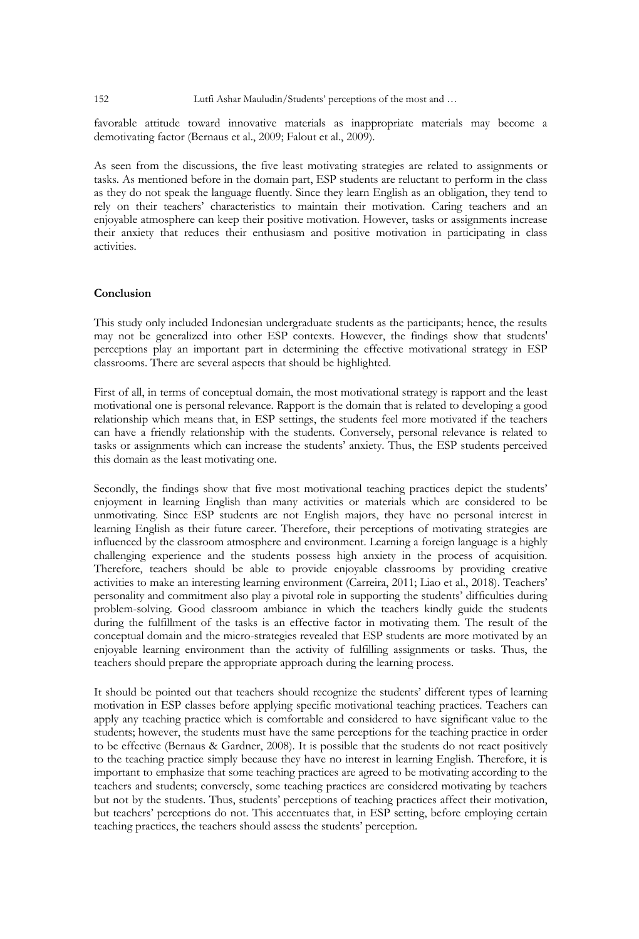favorable attitude toward innovative materials as inappropriate materials may become a demotivating factor (Bernaus et al., 2009; Falout et al., 2009).

As seen from the discussions, the five least motivating strategies are related to assignments or tasks. As mentioned before in the domain part, ESP students are reluctant to perform in the class as they do not speak the language fluently. Since they learn English as an obligation, they tend to rely on their teachers' characteristics to maintain their motivation. Caring teachers and an enjoyable atmosphere can keep their positive motivation. However, tasks or assignments increase their anxiety that reduces their enthusiasm and positive motivation in participating in class activities.

#### **Conclusion**

This study only included Indonesian undergraduate students as the participants; hence, the results may not be generalized into other ESP contexts. However, the findings show that students' perceptions play an important part in determining the effective motivational strategy in ESP classrooms. There are several aspects that should be highlighted.

First of all, in terms of conceptual domain, the most motivational strategy is rapport and the least motivational one is personal relevance. Rapport is the domain that is related to developing a good relationship which means that, in ESP settings, the students feel more motivated if the teachers can have a friendly relationship with the students. Conversely, personal relevance is related to tasks or assignments which can increase the students' anxiety. Thus, the ESP students perceived this domain as the least motivating one.

Secondly, the findings show that five most motivational teaching practices depict the students' enjoyment in learning English than many activities or materials which are considered to be unmotivating. Since ESP students are not English majors, they have no personal interest in learning English as their future career. Therefore, their perceptions of motivating strategies are influenced by the classroom atmosphere and environment. Learning a foreign language is a highly challenging experience and the students possess high anxiety in the process of acquisition. Therefore, teachers should be able to provide enjoyable classrooms by providing creative activities to make an interesting learning environment (Carreira, 2011; Liao et al., 2018). Teachers' personality and commitment also play a pivotal role in supporting the students' difficulties during problem-solving. Good classroom ambiance in which the teachers kindly guide the students during the fulfillment of the tasks is an effective factor in motivating them. The result of the conceptual domain and the micro-strategies revealed that ESP students are more motivated by an enjoyable learning environment than the activity of fulfilling assignments or tasks. Thus, the teachers should prepare the appropriate approach during the learning process.

It should be pointed out that teachers should recognize the students' different types of learning motivation in ESP classes before applying specific motivational teaching practices. Teachers can apply any teaching practice which is comfortable and considered to have significant value to the students; however, the students must have the same perceptions for the teaching practice in order to be effective (Bernaus & Gardner, 2008). It is possible that the students do not react positively to the teaching practice simply because they have no interest in learning English. Therefore, it is important to emphasize that some teaching practices are agreed to be motivating according to the teachers and students; conversely, some teaching practices are considered motivating by teachers but not by the students. Thus, students' perceptions of teaching practices affect their motivation, but teachers' perceptions do not. This accentuates that, in ESP setting, before employing certain teaching practices, the teachers should assess the students' perception.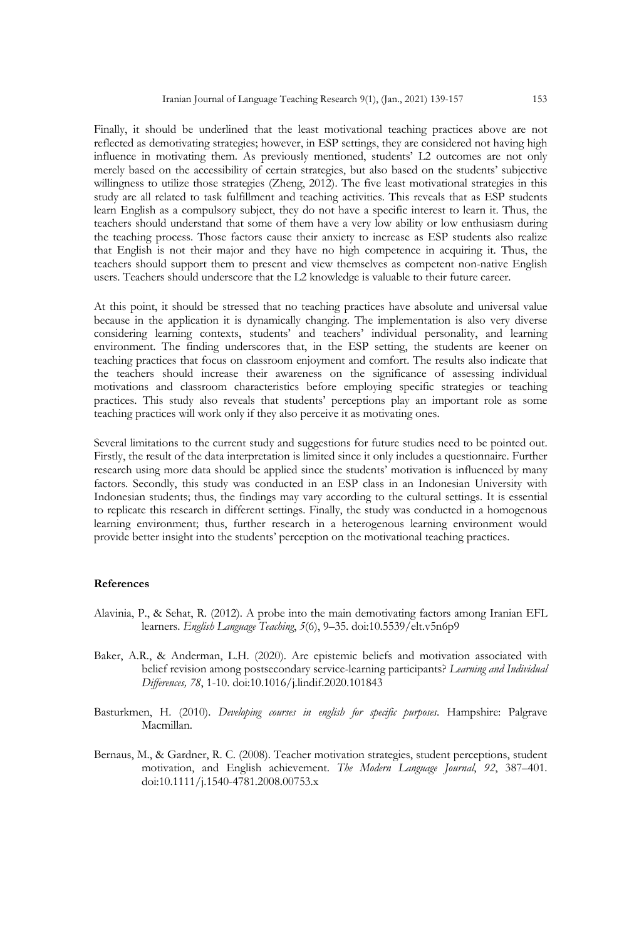Finally, it should be underlined that the least motivational teaching practices above are not reflected as demotivating strategies; however, in ESP settings, they are considered not having high influence in motivating them. As previously mentioned, students' L2 outcomes are not only merely based on the accessibility of certain strategies, but also based on the students' subjective willingness to utilize those strategies (Zheng, 2012). The five least motivational strategies in this study are all related to task fulfillment and teaching activities. This reveals that as ESP students learn English as a compulsory subject, they do not have a specific interest to learn it. Thus, the teachers should understand that some of them have a very low ability or low enthusiasm during the teaching process. Those factors cause their anxiety to increase as ESP students also realize that English is not their major and they have no high competence in acquiring it. Thus, the teachers should support them to present and view themselves as competent non-native English users. Teachers should underscore that the L2 knowledge is valuable to their future career.

At this point, it should be stressed that no teaching practices have absolute and universal value because in the application it is dynamically changing. The implementation is also very diverse considering learning contexts, students' and teachers' individual personality, and learning environment. The finding underscores that, in the ESP setting, the students are keener on teaching practices that focus on classroom enjoyment and comfort. The results also indicate that the teachers should increase their awareness on the significance of assessing individual motivations and classroom characteristics before employing specific strategies or teaching practices. This study also reveals that students' perceptions play an important role as some teaching practices will work only if they also perceive it as motivating ones.

Several limitations to the current study and suggestions for future studies need to be pointed out. Firstly, the result of the data interpretation is limited since it only includes a questionnaire. Further research using more data should be applied since the students' motivation is influenced by many factors. Secondly, this study was conducted in an ESP class in an Indonesian University with Indonesian students; thus, the findings may vary according to the cultural settings. It is essential to replicate this research in different settings. Finally, the study was conducted in a homogenous learning environment; thus, further research in a heterogenous learning environment would provide better insight into the students' perception on the motivational teaching practices.

## **References**

- Alavinia, P., & Sehat, R. (2012). A probe into the main demotivating factors among Iranian EFL learners. *English Language Teaching*, *5*(6), 9–35. doi:10.5539/elt.v5n6p9
- Baker, A.R., & Anderman, L.H. (2020). Are epistemic beliefs and motivation associated with belief revision among postsecondary service-learning participants? *Learning and Individual Differences, 78*, 1-10. doi:10.1016/j.lindif.2020.101843
- Basturkmen, H. (2010). *Developing courses in english for specific purposes*. Hampshire: Palgrave Macmillan.
- Bernaus, M., & Gardner, R. C. (2008). Teacher motivation strategies, student perceptions, student motivation, and English achievement. *The Modern Language Journal*, *92*, 387–401. doi:10.1111/j.1540-4781.2008.00753.x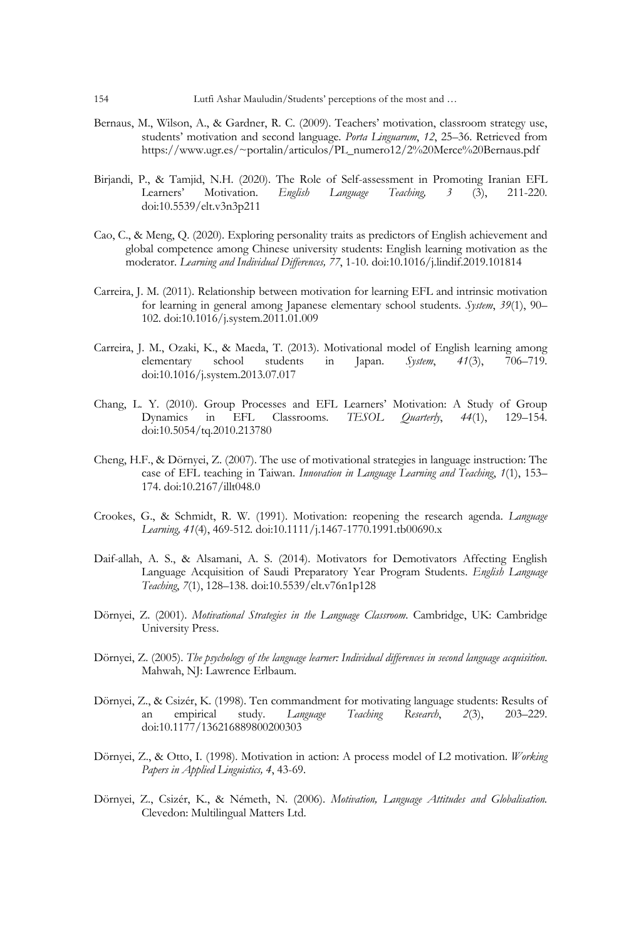- Bernaus, M., Wilson, A., & Gardner, R. C. (2009). Teachers' motivation, classroom strategy use, students' motivation and second language. *Porta Linguarum*, *12*, 25–36. Retrieved from https://www.ugr.es/~portalin/articulos/PL\_numero12/2%20Merce%20Bernaus.pdf
- Birjandi, P., & Tamjid, N.H. (2020). The Role of Self-assessment in Promoting Iranian EFL Learners' Motivation. *English Language Teaching, 3* (3), 211-220. doi:10.5539/elt.v3n3p211
- Cao, C., & Meng, Q. (2020). Exploring personality traits as predictors of English achievement and global competence among Chinese university students: English learning motivation as the moderator. *Learning and Individual Differences, 77*, 1-10. doi:10.1016/j.lindif.2019.101814
- Carreira, J. M. (2011). Relationship between motivation for learning EFL and intrinsic motivation for learning in general among Japanese elementary school students. *System*, *39*(1), 90– 102. doi:10.1016/j.system.2011.01.009
- Carreira, J. M., Ozaki, K., & Maeda, T. (2013). Motivational model of English learning among elementary school students in Japan. *System*, *41*(3), 706–719. doi:10.1016/j.system.2013.07.017
- Chang, L. Y. (2010). Group Processes and EFL Learners' Motivation: A Study of Group Dynamics in EFL Classrooms. *TESOL Quarterly*, *44*(1), 129–154. doi:10.5054/tq.2010.213780
- Cheng, H.F., & Dörnyei, Z. (2007). The use of motivational strategies in language instruction: The case of EFL teaching in Taiwan. *Innovation in Language Learning and Teaching*, *1*(1), 153– 174. doi:10.2167/illt048.0
- Crookes, G., & Schmidt, R. W. (1991). Motivation: reopening the research agenda. *Language Learning, 41*(4), 469-512. doi:10.1111/j.1467-1770.1991.tb00690.x
- Daif-allah, A. S., & Alsamani, A. S. (2014). Motivators for Demotivators Affecting English Language Acquisition of Saudi Preparatory Year Program Students. *English Language Teaching*, *7*(1), 128–138. doi:10.5539/elt.v76n1p128
- Dörnyei, Z. (2001). *Motivational Strategies in the Language Classroom*. Cambridge, UK: Cambridge University Press.
- Dörnyei, Z. (2005). *The psychology of the language learner: Individual differences in second language acquisition*. Mahwah, NJ: Lawrence Erlbaum.
- Dörnyei, Z., & Csizér, K. (1998). Ten commandment for motivating language students: Results of an empirical study. *Language Teaching Research*, *2*(3), 203–229. doi:10.1177/136216889800200303
- Dörnyei, Z., & Otto, I. (1998). Motivation in action: A process model of L2 motivation. *Working Papers in Applied Linguistics, 4*, 43-69.
- Dörnyei, Z., Csizér, K., & Németh, N. (2006). *Motivation, Language Attitudes and Globalisation.* Clevedon: Multilingual Matters Ltd.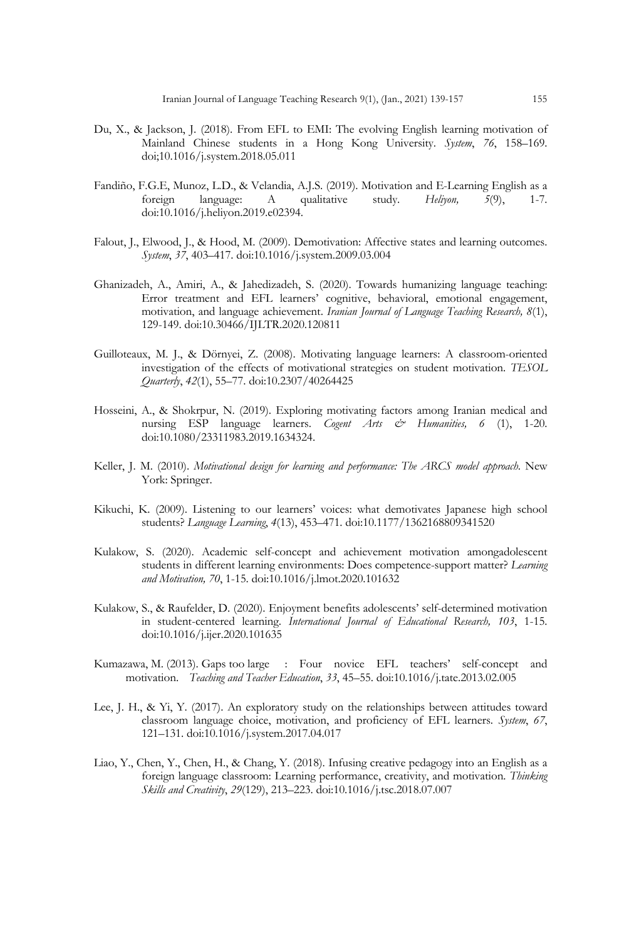- Du, X., & Jackson, J. (2018). From EFL to EMI: The evolving English learning motivation of Mainland Chinese students in a Hong Kong University. *System*, *76*, 158–169. doi;10.1016/j.system.2018.05.011
- Fandiño, F.G.E, Munoz, L.D., & Velandia, A.J.S. (2019). Motivation and E-Learning English as a foreign language: A qualitative study. *Heliyon, 5*(9), 1-7. doi:10.1016/j.heliyon.2019.e02394.
- Falout, J., Elwood, J., & Hood, M. (2009). Demotivation: Affective states and learning outcomes. *System*, *37*, 403–417. doi:10.1016/j.system.2009.03.004
- Ghanizadeh, A., Amiri, A., & Jahedizadeh, S. (2020). Towards humanizing language teaching: Error treatment and EFL learners' cognitive, behavioral, emotional engagement, motivation, and language achievement. *Iranian Journal of Language Teaching Research, 8*(1), 129-149. doi:10.30466/IJLTR.2020.120811
- Guilloteaux, M. J., & Dörnyei, Z. (2008). Motivating language learners: A classroom-oriented investigation of the effects of motivational strategies on student motivation. *TESOL Quarterly*, *42*(1), 55–77. doi:10.2307/40264425
- Hosseini, A., & Shokrpur, N. (2019). Exploring motivating factors among Iranian medical and nursing ESP language learners. *Cogent Arts & Humanities, 6* (1), 1-20. doi:10.1080/23311983.2019.1634324.
- Keller, J. M. (2010). *Motivational design for learning and performance: The ARCS model approach*. New York: Springer.
- Kikuchi, K. (2009). Listening to our learners' voices: what demotivates Japanese high school students? *Language Learning*, *4*(13), 453–471. doi:10.1177/1362168809341520
- Kulakow, S. (2020). Academic self-concept and achievement motivation amongadolescent students in different learning environments: Does competence-support matter? *Learning and Motivation, 70*, 1-15. doi:10.1016/j.lmot.2020.101632
- Kulakow, S., & Raufelder, D. (2020). Enjoyment benefits adolescents' self-determined motivation in student-centered learning. *International Journal of Educational Research, 103*, 1-15. doi:10.1016/j.ijer.2020.101635
- Kumazawa, M. (2013). Gaps too large : Four novice EFL teachers' self-concept and motivation. *Teaching and Teacher Education*, *33*, 45–55. doi:10.1016/j.tate.2013.02.005
- Lee, J. H., & Yi, Y. (2017). An exploratory study on the relationships between attitudes toward classroom language choice, motivation, and proficiency of EFL learners. *System*, *67*, 121–131. doi:10.1016/j.system.2017.04.017
- Liao, Y., Chen, Y., Chen, H., & Chang, Y. (2018). Infusing creative pedagogy into an English as a foreign language classroom: Learning performance, creativity, and motivation. *Thinking Skills and Creativity*, *29*(129), 213–223. doi:10.1016/j.tsc.2018.07.007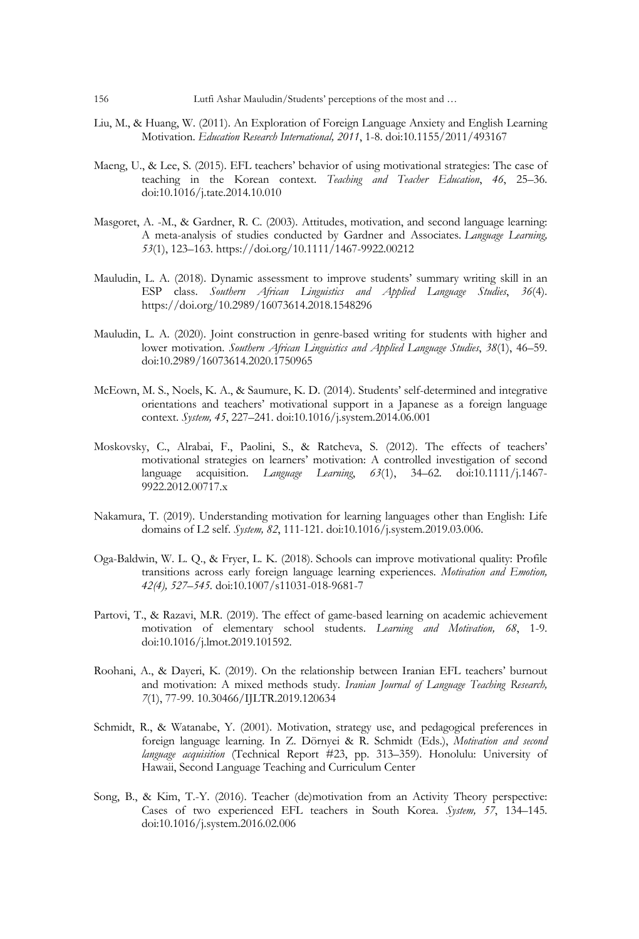- Liu, M., & Huang, W. (2011). An Exploration of Foreign Language Anxiety and English Learning Motivation. *Education Research International, 2011*, 1-8. doi:10.1155/2011/493167
- Maeng, U., & Lee, S. (2015). EFL teachers' behavior of using motivational strategies: The case of teaching in the Korean context. *Teaching and Teacher Education*, *46*, 25–36. doi:10.1016/j.tate.2014.10.010
- Masgoret, A. -M., & Gardner, R. C. (2003). Attitudes, motivation, and second language learning: A meta-analysis of studies conducted by Gardner and Associates. *Language Learning, 53*(1), 123–163. https://doi.org/10.1111/1467-9922.00212
- Mauludin, L. A. (2018). Dynamic assessment to improve students' summary writing skill in an ESP class. *Southern African Linguistics and Applied Language Studies*, *36*(4). https://doi.org/10.2989/16073614.2018.1548296
- Mauludin, L. A. (2020). Joint construction in genre-based writing for students with higher and lower motivation. *Southern African Linguistics and Applied Language Studies*, *38*(1), 46–59. doi:10.2989/16073614.2020.1750965
- McEown, M. S., Noels, K. A., & Saumure, K. D. (2014). Students' self-determined and integrative orientations and teachers' motivational support in a Japanese as a foreign language context. *System, 45*, 227–241. doi:10.1016/j.system.2014.06.001
- Moskovsky, C., Alrabai, F., Paolini, S., & Ratcheva, S. (2012). The effects of teachers' motivational strategies on learners' motivation: A controlled investigation of second language acquisition. *Language Learning*, *63*(1), 34–62. doi:10.1111/j.1467- 9922.2012.00717.x
- Nakamura, T. (2019). Understanding motivation for learning languages other than English: Life domains of L2 self. *System, 82*, 111-121. doi:10.1016/j.system.2019.03.006.
- Oga-Baldwin, W. L. Q., & Fryer, L. K. (2018). Schools can improve motivational quality: Profile transitions across early foreign language learning experiences*. Motivation and Emotion, 42(4), 527–545.* doi:10.1007/s11031-018-9681-7
- Partovi, T., & Razavi, M.R. (2019). The effect of game-based learning on academic achievement motivation of elementary school students. *Learning and Motivation, 68*, 1-9. doi:10.1016/j.lmot.2019.101592.
- Roohani, A., & Dayeri, K. (2019). On the relationship between Iranian EFL teachers' burnout and motivation: A mixed methods study. *Iranian Journal of Language Teaching Research, 7*(1), 77-99. 10.30466/IJLTR.2019.120634
- Schmidt, R., & Watanabe, Y. (2001). Motivation, strategy use, and pedagogical preferences in foreign language learning. In Z. Dörnyei & R. Schmidt (Eds.), *Motivation and second language acquisition* (Technical Report #23, pp. 313–359). Honolulu: University of Hawaii, Second Language Teaching and Curriculum Center
- Song, B., & Kim, T.-Y. (2016). Teacher (de)motivation from an Activity Theory perspective: Cases of two experienced EFL teachers in South Korea. *System, 57*, 134–145. doi:10.1016/j.system.2016.02.006